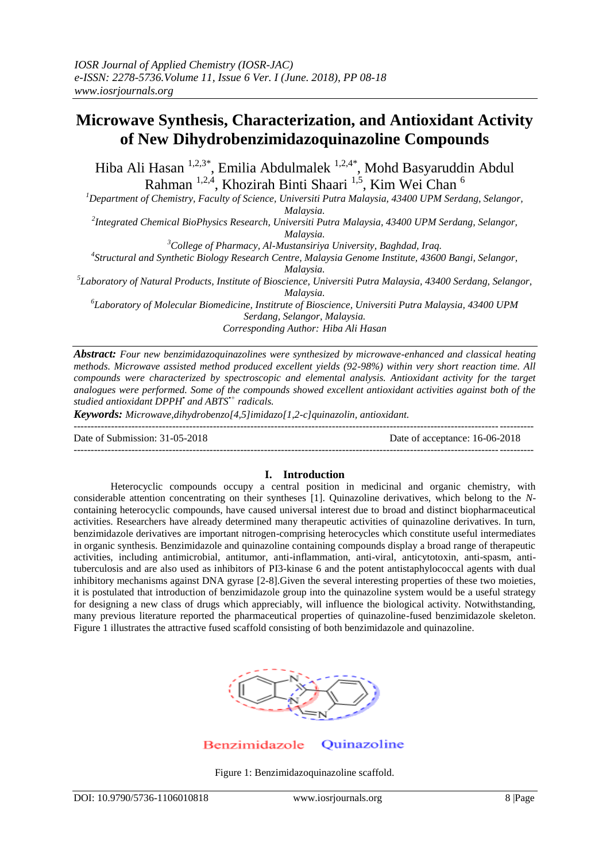# **Microwave Synthesis, Characterization, and Antioxidant Activity of New Dihydrobenzimidazoquinazoline Compounds**

Hiba Ali Hasan <sup>1,2,3\*</sup>, Emilia Abdulmalek <sup>1,2,4\*</sup>, Mohd Basyaruddin Abdul Rahman <sup>1,2,4</sup>, Khozirah Binti Shaari <sup>1,5</sup>, Kim Wei Chan <sup>6</sup>

*<sup>1</sup>Department of Chemistry, Faculty of Science, Universiti Putra Malaysia, 43400 UPM Serdang, Selangor, Malaysia.*

*2 Integrated Chemical BioPhysics Research, Universiti Putra Malaysia, 43400 UPM Serdang, Selangor, Malaysia.*

*<sup>3</sup>College of Pharmacy, Al-Mustansiriya University, Baghdad, Iraq.*

*4 Structural and Synthetic Biology Research Centre, Malaysia Genome Institute, 43600 Bangi, Selangor, Malaysia.*

*5 Laboratory of Natural Products, Institute of Bioscience, Universiti Putra Malaysia, 43400 Serdang, Selangor, Malaysia.*

*6 Laboratory of Molecular Biomedicine, Institrute of Bioscience, Universiti Putra Malaysia, 43400 UPM Serdang, Selangor, Malaysia. Corresponding Author: Hiba Ali Hasan*

*Abstract: Four new benzimidazoquinazolines were synthesized by microwave-enhanced and classical heating methods. Microwave assisted method produced excellent yields (92-98%) within very short reaction time. All compounds were characterized by spectroscopic and elemental analysis. Antioxidant activity for the target analogues were performed. Some of the compounds showed excellent antioxidant activities against both of the studied antioxidant DPPH• and ABTS•+ radicals.* 

*Keywords: Microwave,dihydrobenzo[4,5]imidazo[1,2-c]quinazolin, antioxidant.* 

Date of Submission: 31-05-2018 Date of acceptance: 16-06-2018

---------------------------------------------------------------------------------------------------------------------------------------

# **I. Introduction**

Heterocyclic compounds occupy a central position in medicinal and organic chemistry, with considerable attention concentrating on their syntheses [1]. Quinazoline derivatives, which belong to the *N*containing heterocyclic compounds, have caused universal interest due to broad and distinct biopharmaceutical activities. Researchers have already determined many therapeutic activities of quinazoline derivatives. In turn, benzimidazole derivatives are important nitrogen-comprising heterocycles which constitute useful intermediates in organic synthesis. Benzimidazole and quinazoline containing compounds display a broad range of therapeutic activities, including antimicrobial, antitumor, anti-inflammation, anti-viral, anticytotoxin, anti-spasm, antituberculosis and are also used as inhibitors of PI3-kinase 6 and the potent antistaphylococcal agents with dual inhibitory mechanisms against DNA gyrase [2-8].Given the several interesting properties of these two moieties, it is postulated that introduction of benzimidazole group into the quinazoline system would be a useful strategy for designing a new class of drugs which appreciably, will influence the biological activity. Notwithstanding, many previous literature reported the pharmaceutical properties of quinazoline-fused benzimidazole skeleton. Figure 1 illustrates the attractive fused scaffold consisting of both benzimidazole and quinazoline.



Benzimidazole Quinazoline

Figure 1: Benzimidazoquinazoline scaffold.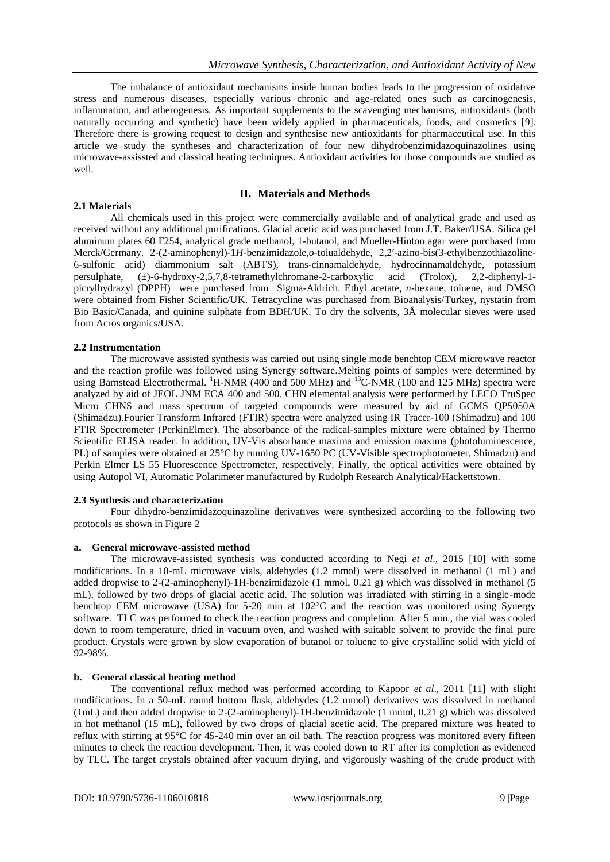The imbalance of antioxidant mechanisms inside human bodies leads to the progression of oxidative stress and numerous diseases, especially various chronic and age-related ones such as carcinogenesis, inflammation, and atherogenesis. As important supplements to the scavenging mechanisms, antioxidants (both naturally occurring and synthetic) have been widely applied in pharmaceuticals, foods, and cosmetics [9]. Therefore there is growing request to design and synthesise new antioxidants for pharmaceutical use. In this article we study the syntheses and characterization of four new dihydrobenzimidazoquinazolines using microwave-assissted and classical heating techniques. Antioxidant activities for those compounds are studied as well.

## **2.1 Materials**

## **II. Materials and Methods**

All chemicals used in this project were commercially available and of analytical grade and used as received without any additional purifications. Glacial acetic acid was purchased from J.T. Baker/USA. Silica gel aluminum plates 60 F254, analytical grade methanol, 1-butanol, and Mueller-Hinton agar were purchased from Merck/Germany. 2-(2-aminophenyl)-1*H*-benzimidazole,*o*-tolualdehyde, 2,2′-azino-bis(3-ethylbenzothiazoline-6-sulfonic acid) diammonium salt (ABTS), trans-cinnamaldehyde, hydrocinnamaldehyde, potassium persulphate.  $(\pm)$ -6-hydroxy-2.5.7.8-tetramethylchromane-2-carboxylic acid (Trolox). 2.2-diphenyl-1- $(\pm)$ -6-hydroxy-2,5,7,8-tetramethylchromane-2-carboxylic acid (Trolox), 2,2-diphenyl-1picrylhydrazyl (DPPH) were purchased from Sigma-Aldrich. Ethyl acetate, *n*-hexane, toluene, and DMSO were obtained from Fisher Scientific/UK. Tetracycline was purchased from Bioanalysis/Turkey, nystatin from Bio Basic/Canada, and quinine sulphate from BDH/UK. To dry the solvents, 3Å molecular sieves were used from Acros organics/USA.

## **2.2 Instrumentation**

The microwave assisted synthesis was carried out using single mode benchtop CEM microwave reactor and the reaction profile was followed using Synergy software.Melting points of samples were determined by using Barnstead Electrothermal. <sup>1</sup>H-NMR (400 and 500 MHz) and <sup>13</sup>C-NMR (100 and 125 MHz) spectra were analyzed by aid of JEOL JNM ECA 400 and 500. CHN elemental analysis were performed by LECO TruSpec Micro CHNS and mass spectrum of targeted compounds were measured by aid of GCMS QP5050A (Shimadzu).Fourier Transform Infrared (FTIR) spectra were analyzed using IR Tracer-100 (Shimadzu) and 100 FTIR Spectrometer (PerkinElmer). The absorbance of the radical-samples mixture were obtained by Thermo Scientific ELISA reader. In addition, UV-Vis absorbance maxima and emission maxima (photoluminescence, PL) of samples were obtained at 25°C by running UV-1650 PC (UV-Visible spectrophotometer, Shimadzu) and Perkin Elmer LS 55 Fluorescence Spectrometer, respectively. Finally, the optical activities were obtained by using Autopol VI, Automatic Polarimeter manufactured by Rudolph Research Analytical/Hackettstown.

## **2.3 Synthesis and characterization**

Four dihydro-benzimidazoquinazoline derivatives were synthesized according to the following two protocols as shown in Figure 2

## **a. General microwave-assisted method**

The microwave-assisted synthesis was conducted according to Negi *et al*., 2015 [10] with some modifications. In a 10-mL microwave vials, aldehydes (1.2 mmol) were dissolved in methanol (1 mL) and added dropwise to 2-(2-aminophenyl)-1H-benzimidazole (1 mmol, 0.21 g) which was dissolved in methanol (5 mL), followed by two drops of glacial acetic acid. The solution was irradiated with stirring in a single-mode benchtop CEM microwave (USA) for 5-20 min at 102°C and the reaction was monitored using Synergy software. TLC was performed to check the reaction progress and completion. After 5 min., the vial was cooled down to room temperature, dried in vacuum oven, and washed with suitable solvent to provide the final pure product. Crystals were grown by slow evaporation of butanol or toluene to give crystalline solid with yield of 92-98%.

## **b. General classical heating method**

The conventional reflux method was performed according to Kapoor *et al*., 2011 [11] with slight modifications. In a 50-mL round bottom flask, aldehydes (1.2 mmol) derivatives was dissolved in methanol (1mL) and then added dropwise to 2-(2-aminophenyl)-1H-benzimidazole (1 mmol, 0.21 g) which was dissolved in hot methanol (15 mL), followed by two drops of glacial acetic acid. The prepared mixture was heated to reflux with stirring at 95°C for 45-240 min over an oil bath. The reaction progress was monitored every fifteen minutes to check the reaction development. Then, it was cooled down to RT after its completion as evidenced by TLC. The target crystals obtained after vacuum drying, and vigorously washing of the crude product with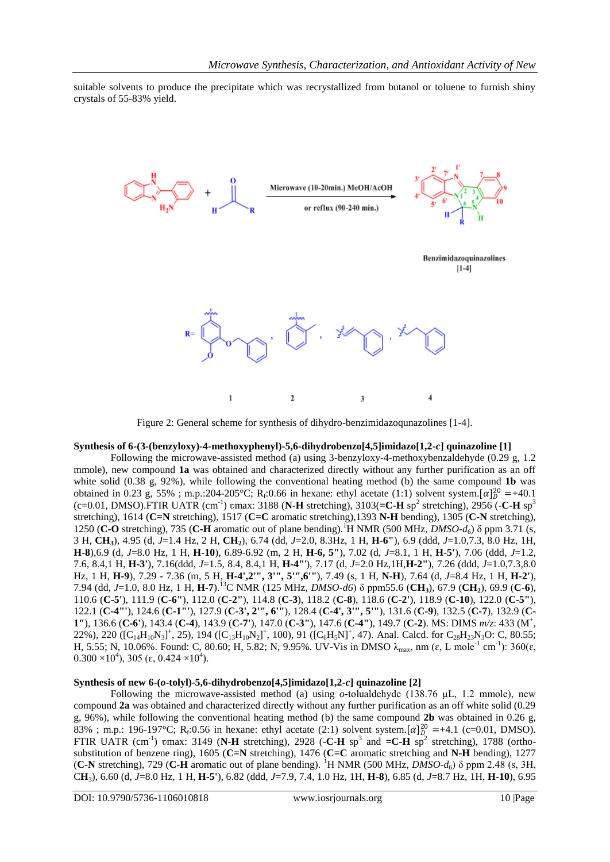suitable solvents to produce the precipitate which was recrystallized from butanol or toluene to furnish shiny crystals of 55-83% yield.



Figure 2: General scheme for synthesis of dihydro-benzimidazoqunazolines [1-4].

#### **Synthesis of 6-(3-(benzyloxy)-4-methoxyphenyl)-5,6-dihydrobenzo[4,5]imidazo[1,2-***c***] quinazoline [1]**

Following the microwave**-**assisted method (a) using 3-benzyloxy-4-methoxybenzaldehyde (0.29 g, 1.2 mmole), new compound **1a** was obtained and characterized directly without any further purification as an off white solid (0.38 g, 92%), while following the conventional heating method (b) the same compound **1b** was obtained in 0.23 g, 55%; m.p.:204-205°C; R<sub>f</sub>:0.66 in hexane: ethyl acetate (1:1) solvent system.[ $\alpha$ ] $^{20}_{D}$  =+40.1  $(c=0.01, DMSO)$ . FTIR UATR  $(cm^{-1})$  vmax: 3188 (N-H stretching), 3103(=C-H sp<sup>2</sup> stretching), 2956 (-C-H sp<sup>3</sup>) stretching), 1614 (**C=N** stretching), 1517 (**C=C** aromatic stretching),1393 **N-H** bending), 1305 (**C-N** stretching), 1250 (**C-O** stretching), 735 (**C-H** aromatic out of plane bending).<sup>1</sup>H NMR (500 MHz, *DMSO-d*6) δ ppm 3.71 (s, 3 H, **CH3**), 4.95 (d, *J*=1.4 Hz, 2 H, **CH2**), 6.74 (dd, *J*=2.0, 8.3Hz, 1 H, **H-6"**), 6.9 (ddd, *J*=1.0,7.3, 8.0 Hz, 1H, **H-8**),6.9 (d, *J*=8.0 Hz, 1 H, **H-10**), 6.89-6.92 (m, 2 H, **H-6, 5"**), 7.02 (d, *J*=8.1, 1 H, **H-5'**), 7.06 (ddd, *J*=1.2, 7.6, 8.4,1 H, **H-3'**), 7.16(ddd, *J*=1.5, 8.4, 8.4,1 H, **H-4"**'), 7.17 (d, *J*=2.0 Hz,1H,**H-2"**), 7.26 (ddd, *J*=1.0,7.3,8.0 Hz, 1 H, **H-9**), 7.29 - 7.36 (m, 5 H, **H-4',2'", 3'", 5'",6'"**), 7.49 (s, 1 H, **N-H**), 7.64 (d, *J*=8.4 Hz, 1 H, **H-2'**), 7.94 (dd, *J*=1.0, 8.0 Hz, 1 H, **H-7**). <sup>13</sup>C NMR (125 MHz, *DMSO-d6*) δ ppm55.6 (**CH3**), 67.9 (**CH2**), 69.9 (**C-6**), 110.6 (**C-5'**), 111.9 (**C-6"**), 112.0 (**C-2"**), 114.8 (**C-3**), 118.2 (**C-8**), 118.6 (**C-2'**), 118.9 (**C-10**), 122.0 (**C-5"**), 122.1 (**C-4"'**), 124.6 (**C-1"'**), 127.9 (**C-3', 2'", 6'"**), 128.4 (**C-4', 3'", 5'"**), 131.6 (**C-9**), 132.5 (**C-7**), 132.9 (**C-1"**), 136.6 (**C-6'**), 143.4 (**C-4**), 143.9 (**C-7'**), 147.0 (**C-3''**), 147.6 (**C-4''**), 149.7 (**C-2**). MS: DIMS  $m/z$ : 433 (M<sup>+</sup>, 22%), 220 ( $[C_{14}H_{10}N_3]^+$ , 25), 194 ( $[C_{13}H_{10}N_2]^+$ , 100), 91 ( $[C_6H_5N]^+$ , 47). Anal. Calcd. for  $C_{28}H_{23}N_3O$ : C, 80.55; H, 5.55; N, 10.06%. Found: C, 80.60; H, 5.82; N, 9.95%. UV-Vis in DMSO  $\lambda_{\text{max}}$ , nm ( $\varepsilon$ , L mole<sup>-1</sup> cm<sup>-1</sup>): 360( $\varepsilon$ ,  $0.300 \times 10^4$ ), 305 ( $\varepsilon$ , 0.424  $\times 10^4$ ).

#### **Synthesis of new 6-(***o***-tolyl)-5,6-dihydrobenzo[4,5]imidazo[1,2-***c***] quinazoline [2]**

Following the microwave**-**assisted method (a) using *o***-**tolualdehyde (138.76 μL, 1.2 mmole), new compound **2a** was obtained and characterized directly without any further purification as an off white solid (0.29 g, 96%), while following the conventional heating method (b) the same compound **2b** was obtained in 0.26 g, 83%; m.p.: 196-197°C; R<sub>f</sub>:0.56 in hexane: ethyl acetate (2:1) solvent system.  $[\alpha]_{D_2}^{20}$  =+4.1 (c=0.01, DMSO). FTIR UATR (cm<sup>-1</sup>) umax: 3149 (N-H stretching), 2928 (-C-H sp<sup>3</sup> and  $=$ C-H sp<sup>2</sup> stretching), 1788 (orthosubstitution of benzene ring), 1605 (**C=N** stretching), 1476 (**C=C** aromatic stretching and **N-H** bending), 1277 (**C-N** stretching), 729 (**C-H** aromatic out of plane bending). <sup>1</sup>H NMR (500 MHz, *DMSO-d*6) δ ppm 2.48 (s, 3H, C**H**3), 6.60 (d, *J*=8.0 Hz, 1 H, **H-5'**), 6.82 (ddd, *J*=7.9, 7.4, 1.0 Hz, 1H, **H-8**), 6.85 (d, *J*=8.7 Hz, 1H, **H-10**), 6.95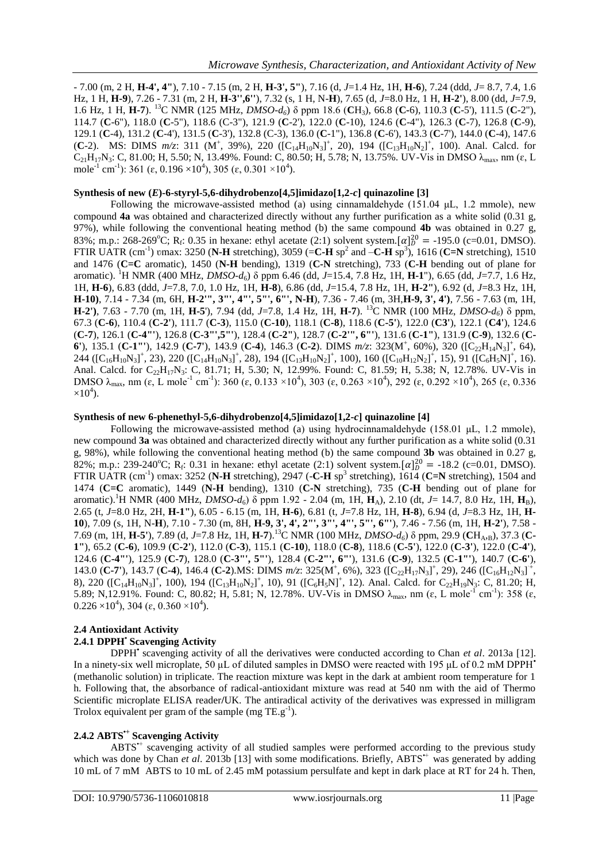- 7.00 (m, 2 H, **H-4', 4"**), 7.10 - 7.15 (m, 2 H, **H-3', 5"**), 7.16 (d, *J*=1.4 Hz, 1H, **H-6**), 7.24 (ddd, *J*= 8.7, 7.4, 1.6 Hz, 1 H, **H-9**), 7.26 - 7.31 (m, 2 H, **H-3'',6''**), 7.32 (s, 1 H, N-**H**), 7.65 (d, *J*=8.0 Hz, 1 H, **H-2'**), 8.00 (dd, *J*=7.9, 1.6 Hz, 1 H, **H-7**). <sup>13</sup>C NMR (125 MHz, *DMSO-d6*) δ ppm 18.6 (**C**H3), 66.8 (**C-**6), 110.3 (**C**-5'), 111.5 (**C**-2"), 114.7 (**C**-6"), 118.0 (**C**-5"), 118.6 (C-3"), 121.9 (**C**-2'), 122.0 (**C**-10), 124.6 (**C**-4"), 126.3 (**C**-7), 126.8 (**C**-9), 129.1 (**C**-4), 131.2 (**C**-4'), 131.5 (**C**-3'), 132.8 (C-3), 136.0 (**C**-1"), 136.8 (**C**-6'), 143.3 (**C**-7'), 144.0 (**C**-4), 147.6 (**C**-2). MS: DIMS  $m/z$ : 311 (M<sup>+</sup>, 39%), 220 ( $[C_{14}H_{10}N_3]^+$ , 20), 194 ( $[C_{13}H_{10}N_2]^+$ , 100). Anal. Calcd. for  $C_{21}H_{17}N_3$ : C, 81.00; H, 5.50; N, 13.49%. Found: C, 80.50; H, 5.78; N, 13.75%. UV-Vis in DMSO  $\lambda_{max}$ , nm ( $\varepsilon$ , L mole<sup>-1</sup> cm<sup>-1</sup>): 361 ( $\varepsilon$ , 0.196  $\times$ 10<sup>4</sup>), 305 ( $\varepsilon$ , 0.301  $\times$ 10<sup>4</sup>).

## **Synthesis of new (***E***)-6-styryl-5,6-dihydrobenzo[4,5]imidazo[1,2-***c***] quinazoline [3]**

Following the microwave-assisted method (a) using cinnamaldehyde (151.04 μL, 1.2 mmole), new compound **4a** was obtained and characterized directly without any further purification as a white solid (0.31 g, 97%), while following the conventional heating method (b) the same compound **4b** was obtained in 0.27 g, 83%; m.p.: 268-269°C; R<sub>f</sub>: 0.35 in hexane: ethyl acetate (2:1) solvent system.[ $\alpha$ ] $_{10}^{20}$  = -195.0 (c=0.01, DMSO). FTIR UATR (cm<sup>-1</sup>) umax: 3250 (N-H stretching), 3059 (=C-H sp<sup>2</sup> and  $-C-H$  sp<sup>3</sup>), 1616 (C=N stretching), 1510 and 1476 (**C=C** aromatic), 1450 (**N-H** bending), 1319 (**C-N** stretching), 733 (**C-H** bending out of plane for aromatic). <sup>1</sup>H NMR (400 MHz, *DMSO-d*6) δ ppm 6.46 (dd, *J*=15.4, 7.8 Hz, 1H, **H-1**"), 6.65 (dd, *J*=7.7, 1.6 Hz, 1H, **H-6**), 6.83 (ddd, *J*=7.8, 7.0, 1.0 Hz, 1H, **H-8**), 6.86 (dd, *J*=15.4, 7.8 Hz, 1H, **H-2"**), 6.92 (d, *J*=8.3 Hz, 1H, **H-10)**, 7.14 - 7.34 (m, 6H, **H-2'", 3"', 4"', 5"', 6"', N-H**), 7.36 - 7.46 (m, 3H,**H-9, 3', 4')**, 7.56 - 7.63 (m, 1H, **H-2')**, 7.63 - 7.70 (m, 1H, **H-5**'), 7.94 (dd, *J*=7.8, 1.4 Hz, 1H, **H-7**). <sup>13</sup>C NMR (100 MHz, *DMSO-d6*) δ ppm, 67.3 (**C-6**), 110.4 (**C-2'**), 111.7 (**C-3**), 115.0 (**C-10**), 118.1 (**C-8**), 118.6 (**C-5'**), 122.0 (**C3'**), 122.1 (**C4'**), 124.6 (**C-7**), 126.1 (**C-4"'**), 126.8 (**C-3"',5"'**), 128.4 (**C-2"**), 128.7 (**C-2'", 6"'**), 131.6 (**C-1"**), 131.9 (**C-9**), 132.6 (**C-6'**), 135.1 (**C-1'''**), 142.9 (**C-7'**), 143.9 (**C-4**), 146.3 (**C-2**). DIMS  $m/z$ : 323(M<sup>+</sup>, 60%), 320 ([C<sub>22</sub>H<sub>14</sub>N<sub>3</sub>]<sup>+</sup>, 64), 244 ( $[C_{16}H_{10}N_3]^+$ , 23), 220 ( $[C_{14}H_{10}N_3]^+$ , 28), 194 ( $[C_{13}H_{10}N_2]^+$ , 100), 160 ( $[C_{10}H_{12}N_2]^+$ , 15), 91 ( $[C_{6}H_{5}N]^+$ , 16). Anal. Calcd. for C<sub>22</sub>H<sub>17</sub>N<sub>3</sub>: C, 81.71; H, 5.30; N, 12.99%. Found: C, 81.59; H, 5.38; N, 12.78%. UV-Vis in DMSO  $\lambda_{\text{max}}$ , nm (ε, L mole<sup>-1</sup> cm<sup>-1</sup>): 360 (ε, 0.133 ×10<sup>4</sup>), 303 (ε, 0.263 ×10<sup>4</sup>), 292 (ε, 0.292 ×10<sup>4</sup>), 265 (ε, 0.336  $\times 10^4$ ).

# **Synthesis of new 6-phenethyl-5,6-dihydrobenzo[4,5]imidazo[1,2-***c***] quinazoline [4]**

Following the microwave-assisted method (a) using hydrocinnamaldehyde (158.01 μL, 1.2 mmole), new compound **3a** was obtained and characterized directly without any further purification as a white solid (0.31 g, 98%), while following the conventional heating method (b) the same compound **3b** was obtained in 0.27 g, 82%; m.p.: 239-240°C; R<sub>f</sub>: 0.31 in hexane: ethyl acetate (2:1) solvent system.  $[\alpha]_D^{20} = -18.2$  (c=0.01, DMSO). FTIR UATR (cm<sup>-1</sup>) umax: 3252 (N-H stretching), 2947 (-C-H sp<sup>3</sup> stretching), 1614 (C=N stretching), 1504 and 1474 (**C=C** aromatic), 1449 (**N-H** bending), 1310 (**C-N** stretching), 735 (**C-H** bending out of plane for aromatic).<sup>1</sup>H NMR (400 MHz, *DMSO-d*6) δ ppm 1.92 - 2.04 (m, 1H, **H**A), 2.10 (dt, *J*= 14.7, 8.0 Hz, 1H, **H**B), 2.65 (t, *J*=8.0 Hz, 2H, **H-1"**), 6.05 - 6.15 (m, 1H, **H-6**), 6.81 (t, *J*=7.8 Hz, 1H, **H-8**), 6.94 (d, *J*=8.3 Hz, 1H, **H-10**), 7.09 (s, 1H, N-**H**), 7.10 - 7.30 (m, 8H, **H-9, 3', 4', 2"', 3"', 4"', 5"', 6"'**), 7.46 - 7.56 (m, 1H, **H-2'**), 7.58 - 7.69 (m, 1H, **H-5'**), 7.89 (d, *J*=7.8 Hz, 1H, **H-7**).<sup>13</sup>C NMR (100 MHz, *DMSO-d6*) δ ppm, 29.9 (**C**HA,B), 37.3 (**C-1"**), 65.2 (**C-6**), 109.9 (**C-2'**), 112.0 (**C-3**), 115.1 (**C-10**), 118.0 (**C-8**), 118.6 (**C-5'**), 122.0 (**C-3'**), 122.0 (**C-4'**), 124.6 (**C-4"'**), 125.9 (**C-7**), 128.0 (**C-3"', 5"'**), 128.4 (**C-2"', 6"'**), 131.6 (**C-9**), 132.5 (**C-1"'**), 140.7 (**C-6'**), 143.0 (C-7'), 143.7 (C-4), 146.4 (C-2).MS: DIMS  $m/z$ : 325(M<sup>+</sup>, 6%), 323 ([C<sub>22</sub>H<sub>17</sub>N<sub>3</sub>]<sup>+</sup>, 29), 246 ([C<sub>16</sub>H<sub>12</sub>N<sub>3</sub>]<sup>+</sup>, 8), 220  $([C_{14}H_{10}N_3]^+$ , 100), 194  $([C_{13}H_{10}N_2]^+$ , 10), 91  $([C_6H_5N]^+$ , 12). Anal. Calcd. for  $C_{22}H_{19}N_3$ : C, 81.20; H, 5.89; N,12.91%. Found: C, 80.82; H, 5.81; N, 12.78%. UV-Vis in DMSO  $\lambda_{\text{max}}$ , nm ( $\varepsilon$ , L mole<sup>-1</sup> cm<sup>-1</sup>): 358 ( $\varepsilon$ ,  $0.226 \times 10^4$ ), 304 ( $\varepsilon$ , 0.360  $\times 10^4$ ).

## **2.4 Antioxidant Activity**

# **2.4.1 DPPH• Scavenging Activity**

DPPH**•** scavenging activity of all the derivatives were conducted according to Chan *et al*. 2013a [12]. In a ninety-six well microplate, 50 µL of diluted samples in DMSO were reacted with 195 μL of 0.2 mM DPPH**•** (methanolic solution) in triplicate. The reaction mixture was kept in the dark at ambient room temperature for 1 h. Following that, the absorbance of radical-antioxidant mixture was read at 540 nm with the aid of Thermo Scientific microplate ELISA reader**/**UK. The antiradical activity of the derivatives was expressed in milligram Trolox equivalent per gram of the sample (mg  $TE.g^{-1}$ ).

## **2.4.2 ABTS•+ Scavenging Activity**

ABTS<sup>\*+</sup> scavenging activity of all studied samples were performed according to the previous study which was done by Chan *et al.* 2013b [13] with some modifications. Briefly, ABTS<sup>++</sup> was generated by adding 10 mL of 7 mM ABTS to 10 mL of 2.45 mM potassium persulfate and kept in dark place at RT for 24 h. Then,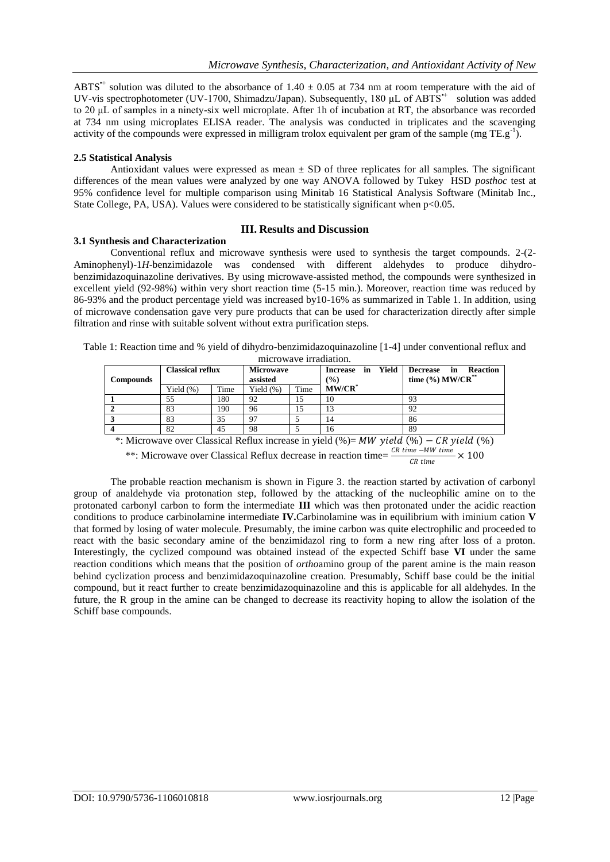ABTS<sup> $+$ </sup> solution was diluted to the absorbance of 1.40  $\pm$  0.05 at 734 nm at room temperature with the aid of UV-vis spectrophotometer (UV-1700, Shimadzu/Japan). Subsequently, 180 μL of ABTS<sup>++</sup> solution was added to 20 μL of samples in a ninety-six well microplate. After 1h of incubation at RT, the absorbance was recorded at 734 nm using microplates ELISA reader. The analysis was conducted in triplicates and the scavenging activity of the compounds were expressed in milligram trolox equivalent per gram of the sample (mg TE.g<sup>-1</sup>).

## **2.5 Statistical Analysis**

Antioxidant values were expressed as mean  $\pm$  SD of three replicates for all samples. The significant differences of the mean values were analyzed by one way ANOVA followed by Tukey HSD *posthoc* test at 95% confidence level for multiple comparison using Minitab 16 Statistical Analysis Software (Minitab Inc., State College, PA, USA). Values were considered to be statistically significant when  $p<0.05$ .

## **III. Results and Discussion**

## **3.1 Synthesis and Characterization**

Conventional reflux and microwave synthesis were used to synthesis the target compounds. 2-(2- Aminophenyl)-1*H*-benzimidazole was condensed with different aldehydes to produce dihydrobenzimidazoquinazoline derivatives. By using microwave-assisted method, the compounds were synthesized in excellent yield (92-98%) within very short reaction time (5-15 min.). Moreover, reaction time was reduced by 86-93% and the product percentage yield was increased by10-16% as summarized in Table 1. In addition, using of microwave condensation gave very pure products that can be used for characterization directly after simple filtration and rinse with suitable solvent without extra purification steps.

|                       | Table 1: Reaction time and % yield of dihydro-benzimidazoquinazoline [1-4] under conventional reflux and |
|-----------------------|----------------------------------------------------------------------------------------------------------|
| microways irradiation |                                                                                                          |

| <b>Compounds</b> | <b>Classical reflux</b> |      | Microwave<br>assisted |      | Yield<br>in<br><b>Increase</b><br>$(\%)$ |  | <b>Reaction</b><br><b>Decrease</b><br>in<br>time $(\frac{6}{9})$ MW/CR <sup>**</sup> |  |
|------------------|-------------------------|------|-----------------------|------|------------------------------------------|--|--------------------------------------------------------------------------------------|--|
|                  | Yield $(\%)$            | Time | Yield $(\%)$          | Time | $MW/CR^*$                                |  |                                                                                      |  |
|                  | 55                      | 180  | 92                    | 15   | 10                                       |  | 93                                                                                   |  |
|                  | 83                      | 190  | 96                    | 15   | 13                                       |  | 92                                                                                   |  |
|                  | 83                      | 35   | 97                    |      | $\overline{4}$                           |  | 86                                                                                   |  |
|                  | 82                      | 45   | 98                    |      | 16                                       |  | 89                                                                                   |  |

\*: Microwave over Classical Reflux increase in yield  $(\%)= MW$  yield  $(\%)$  – CR yield  $(\%)$ 

\*\*: Microwave over Classical Reflux decrease in reaction time=  $\frac{CR \, time - MW \, time}{CR \, time} \times 100$ 

The probable reaction mechanism is shown in Figure 3. the reaction started by activation of carbonyl group of analdehyde via protonation step, followed by the attacking of the nucleophilic amine on to the protonated carbonyl carbon to form the intermediate **III** which was then protonated under the acidic reaction conditions to produce carbinolamine intermediate **IV.**Carbinolamine was in equilibrium with iminium cation **V**  that formed by losing of water molecule. Presumably, the imine carbon was quite electrophilic and proceeded to react with the basic secondary amine of the benzimidazol ring to form a new ring after loss of a proton. Interestingly, the cyclized compound was obtained instead of the expected Schiff base **VI** under the same reaction conditions which means that the position of *ortho*amino group of the parent amine is the main reason behind cyclization process and benzimidazoquinazoline creation. Presumably, Schiff base could be the initial compound, but it react further to create benzimidazoquinazoline and this is applicable for all aldehydes. In the future, the R group in the amine can be changed to decrease its reactivity hoping to allow the isolation of the Schiff base compounds.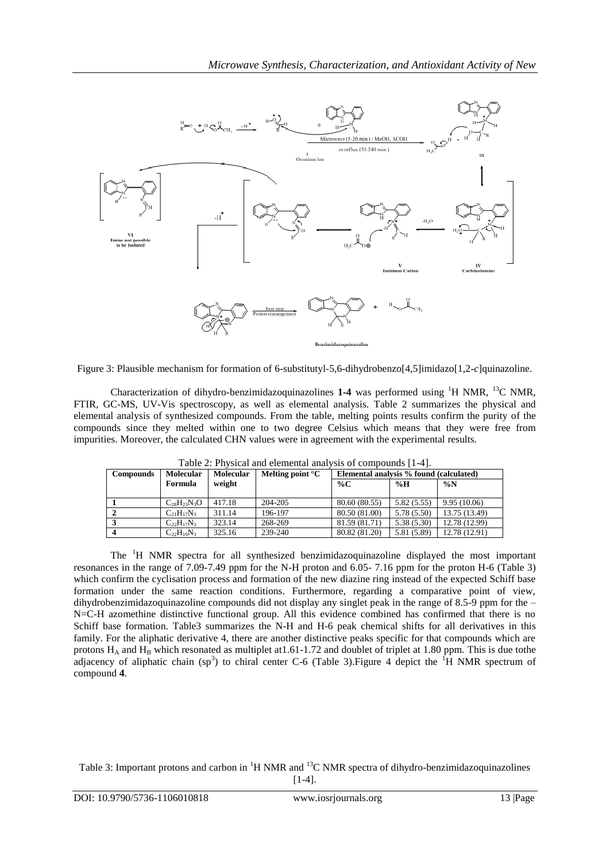

Figure 3: Plausible mechanism for formation of 6-substitutyl-5,6-dihydrobenzo[4,5]imidazo[1,2-*c*]quinazoline.

Characterization of dihydro-benzimidazoquinazolines 1-4 was performed using <sup>1</sup>H NMR, <sup>13</sup>C NMR, FTIR, GC-MS, UV-Vis spectroscopy, as well as elemental analysis. Table 2 summarizes the physical and elemental analysis of synthesized compounds. From the table, melting points results confirm the purity of the compounds since they melted within one to two degree Celsius which means that they were free from impurities. Moreover, the calculated CHN values were in agreement with the experimental results.

| <b>Compounds</b> | <b>Molecular</b>   | <b>Molecular</b> | Melting point $\mathrm{C}$ | Elemental analysis % found (calculated) |             |               |
|------------------|--------------------|------------------|----------------------------|-----------------------------------------|-------------|---------------|
|                  | Formula            | weight           |                            | % $C$                                   | %H          | $\%N$         |
|                  |                    |                  |                            |                                         |             |               |
|                  | $C_{28}H_{23}N_3O$ | 417.18           | 204-205                    | 80.60 (80.55)                           | 5.82(5.55)  | 9.95(10.06)   |
|                  | $C_{21}H_{17}N_3$  | 311.14           | 196-197                    | 80.50 (81.00)                           | 5.78(5.50)  | 13.75 (13.49) |
|                  | $C_{22}H_{17}N_3$  | 323.14           | 268-269                    | 81.59 (81.71)                           | 5.38(5.30)  | 12.78 (12.99) |
|                  | $C_{22}H_{19}N_3$  | 325.16           | 239-240                    | 80.82 (81.20)                           | 5.81 (5.89) | 12.78 (12.91) |

Table 2: Physical and elemental analysis of compounds [1-4].

The <sup>1</sup>H NMR spectra for all synthesized benzimidazoquinazoline displayed the most important resonances in the range of 7.09-7.49 ppm for the N-H proton and 6.05- 7.16 ppm for the proton H-6 (Table 3) which confirm the cyclisation process and formation of the new diazine ring instead of the expected Schiff base formation under the same reaction conditions. Furthermore, regarding a comparative point of view, dihydrobenzimidazoquinazoline compounds did not display any singlet peak in the range of 8.5-9 ppm for the – N=C-H azomethine distinctive functional group. All this evidence combined has confirmed that there is no Schiff base formation. Table3 summarizes the N-H and H-6 peak chemical shifts for all derivatives in this family. For the aliphatic derivative 4, there are another distinctive peaks specific for that compounds which are protons  $H_A$  and  $H_B$  which resonated as multiplet at 1.61-1.72 and doublet of triplet at 1.80 ppm. This is due tothe adjacency of aliphatic chain (sp<sup>3</sup>) to chiral center C-6 (Table 3). Figure 4 depict the <sup>1</sup>H NMR spectrum of compound **4**.

Table 3: Important protons and carbon in <sup>1</sup>H NMR and <sup>13</sup>C NMR spectra of dihydro-benzimidazoquinazolines [1-4].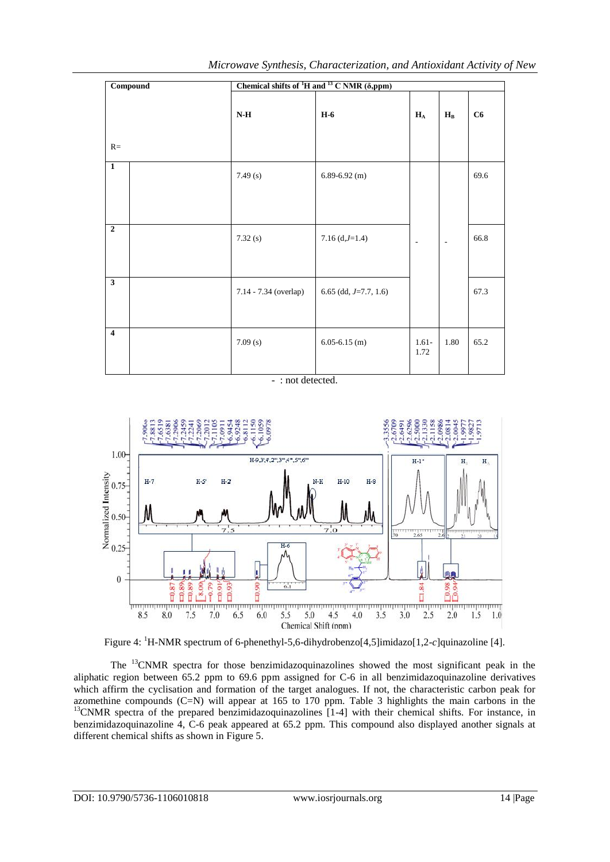|                         | <b>Compound</b> | Chemical shifts of ${}^{1}H$ and ${}^{13}$ C NMR ( $\delta$ ,ppm) |                          |                           |                          |      |  |
|-------------------------|-----------------|-------------------------------------------------------------------|--------------------------|---------------------------|--------------------------|------|--|
| $R=$                    |                 | $\mathbf{N}\text{-}\mathbf{H}$                                    | $H-6$                    | $\mathbf{H}_{\mathrm{A}}$ | $\mathbf{H}_{\text{B}}$  | C6   |  |
| $\mathbf{1}$            |                 | 7.49(s)                                                           | $6.89 - 6.92$ (m)        |                           |                          | 69.6 |  |
| $\overline{2}$          |                 | 7.32(s)                                                           | $7.16 (d,J=1.4)$         | $\overline{\phantom{a}}$  | $\overline{\phantom{a}}$ | 66.8 |  |
| $\overline{\mathbf{3}}$ |                 | 7.14 - 7.34 (overlap)                                             | 6.65 (dd, $J=7.7$ , 1.6) |                           |                          | 67.3 |  |
| $\overline{\mathbf{4}}$ |                 | 7.09(s)                                                           | $6.05 - 6.15$ (m)        | $1.61 -$<br>1.72          | 1.80                     | 65.2 |  |

- : not detected.



Figure 4: <sup>1</sup>H-NMR spectrum of 6-phenethyl-5,6-dihydrobenzo[4,5]imidazo[1,2-*c*]quinazoline [4].

The <sup>13</sup>CNMR spectra for those benzimidazoquinazolines showed the most significant peak in the aliphatic region between 65.2 ppm to 69.6 ppm assigned for C-6 in all benzimidazoquinazoline derivatives which affirm the cyclisation and formation of the target analogues. If not, the characteristic carbon peak for azomethine compounds (C=N) will appear at 165 to 170 ppm. Table 3 highlights the main carbons in the <sup>13</sup>CNMR spectra of the prepared benzimidazoquinazolines [1-4] with their chemical shifts. For instance, in benzimidazoquinazoline 4, C-6 peak appeared at 65.2 ppm. This compound also displayed another signals at different chemical shifts as shown in Figure 5.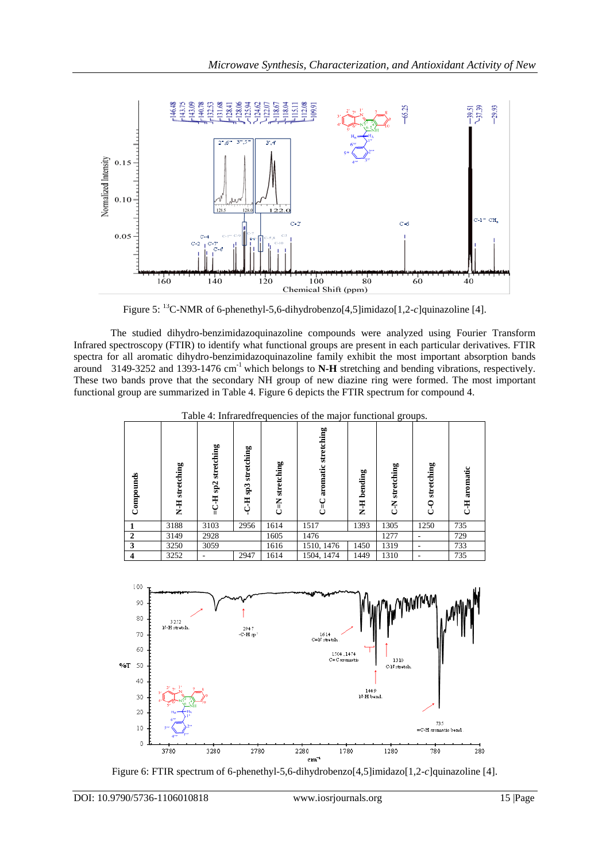

Figure 5: <sup>13</sup>C-NMR of 6-phenethyl-5,6-dihydrobenzo[4,5]imidazo[1,2-*c*]quinazoline [4].

The studied dihydro-benzimidazoquinazoline compounds were analyzed using Fourier Transform Infrared spectroscopy (FTIR) to identify what functional groups are present in each particular derivatives. FTIR spectra for all aromatic dihydro-benzimidazoquinazoline family exhibit the most important absorption bands around 3149-3252 and 1393-1476 cm-1 which belongs to **N-H** stretching and bending vibrations, respectively. These two bands prove that the secondary NH group of new diazine ring were formed. The most important functional group are summarized in Table 4. Figure 6 depicts the FTIR spectrum for compound 4.

| Compounds               | stretching<br>$\overline{H}$ | stretching<br>sp2<br>H | stretching<br>$\mathbf{s}\mathbf{p3}$<br><b>H-C-H</b> | stretching<br>乙 | stretching<br>aromatic | bending<br>H-H | stretching<br><b>NO</b> | stretching<br>$\frac{0}{\zeta}$ | aromatic<br>H<br>U |
|-------------------------|------------------------------|------------------------|-------------------------------------------------------|-----------------|------------------------|----------------|-------------------------|---------------------------------|--------------------|
|                         | 3188                         | 3103                   | 2956                                                  | 1614            | 1517                   | 1393           | 1305                    | 1250                            | 735                |
| $\overline{2}$          | 3149                         | 2928                   |                                                       | 1605            | 1476                   |                | 1277                    |                                 | 729                |
| 3                       | 3250                         | 3059                   |                                                       | 1616            | 1510, 1476             | 1450           | 1319                    |                                 | 733                |
| $\overline{\mathbf{4}}$ | 3252                         |                        | 2947                                                  | 1614            | 1504, 1474             | 1449           | 1310                    |                                 | 735                |

Table 4: Infraredfrequencies of the major functional groups.



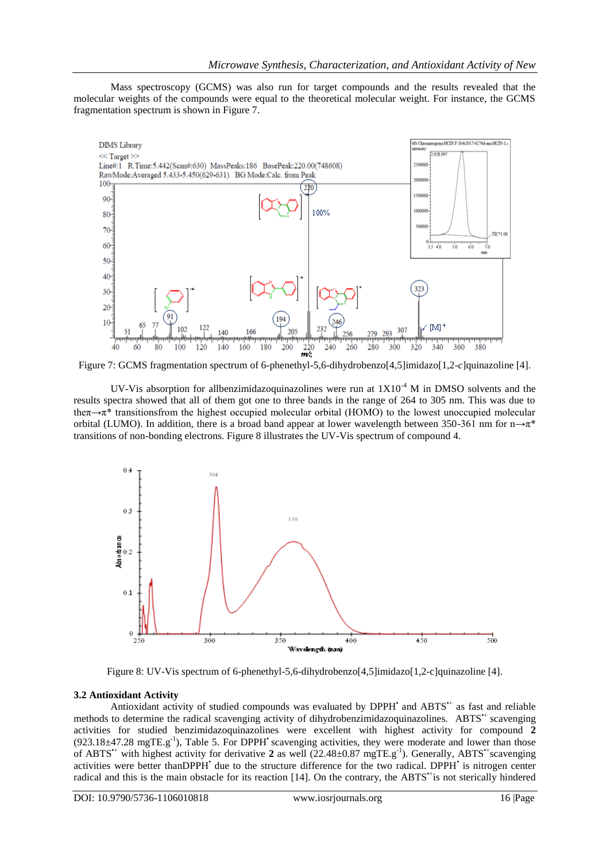Mass spectroscopy (GCMS) was also run for target compounds and the results revealed that the molecular weights of the compounds were equal to the theoretical molecular weight. For instance, the GCMS fragmentation spectrum is shown in Figure 7.



Figure 7: GCMS fragmentation spectrum of 6-phenethyl-5,6-dihydrobenzo[4,5]imidazo[1,2-*c*]quinazoline [4].

UV-Vis absorption for allbenzimidazoquinazolines were run at  $1X10^{-4}$  M in DMSO solvents and the results spectra showed that all of them got one to three bands in the range of 264 to 305 nm. This was due to theπ→π\* transitionsfrom the highest occupied molecular orbital (HOMO) to the lowest unoccupied molecular orbital (LUMO). In addition, there is a broad band appear at lower wavelength between 350-361 nm for  $n \rightarrow \pi^*$ transitions of non-bonding electrons. Figure 8 illustrates the UV-Vis spectrum of compound 4.



Figure 8: UV-Vis spectrum of 6-phenethyl-5,6-dihydrobenzo[4,5]imidazo[1,2-c]quinazoline [4].

## **3.2 Antioxidant Activity**

Antioxidant activity of studied compounds was evaluated by DPPH' and ABTS<sup>++</sup> as fast and reliable methods to determine the radical scavenging activity of dihydrobenzimidazoquinazolines. ABTS<sup>++</sup> scavenging activities for studied benzimidazoquinazolines were excellent with highest activity for compound **2**  $(923.18\pm47.28 \text{ mgTE} \cdot \text{g}^{-1})$ , Table 5. For DPPH' scavenging activities, they were moderate and lower than those of ABTS<sup>++</sup> with highest activity for derivative 2 as well (22.48±0.87 mgTE.g<sup>-1</sup>). Generally, ABTS<sup>++</sup>scavenging activities were better thanDPPH<sup>+</sup> due to the structure difference for the two radical. DPPH<sup>+</sup> is nitrogen center radical and this is the main obstacle for its reaction [14]. On the contrary, the ABTS<sup>\*+</sup>is not sterically hindered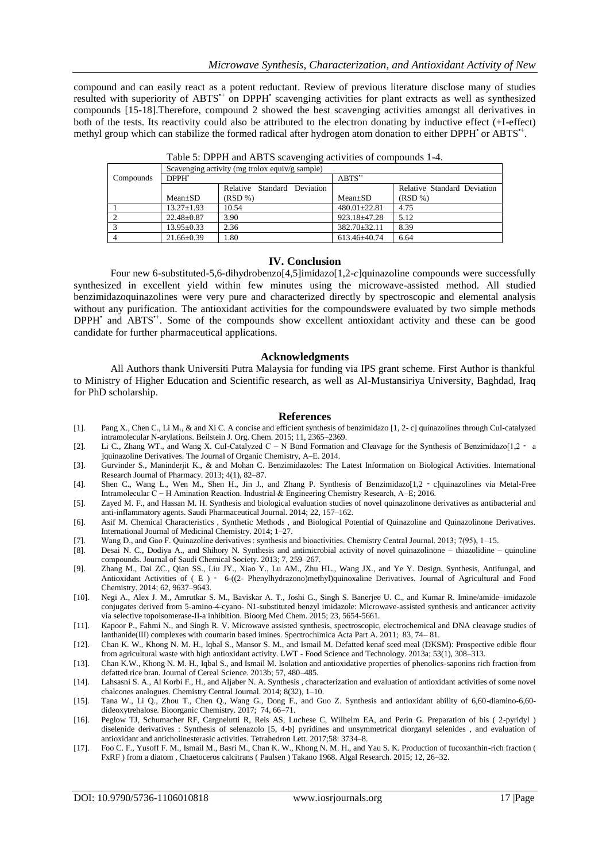compound and can easily react as a potent reductant. Review of previous literature disclose many of studies resulted with superiority of ABTS<sup>++</sup> on DPPH<sup>•</sup> scavenging activities for plant extracts as well as synthesized compounds [15-18].Therefore, compound 2 showed the best scavenging activities amongst all derivatives in both of the tests. Its reactivity could also be attributed to the electron donating by inductive effect (+I-effect) methyl group which can stabilize the formed radical after hydrogen atom donation to either DPPH' or ABTS".

|           | Scavenging activity (mg trolox equiv/g sample) |                             |                    |                             |  |  |  |  |
|-----------|------------------------------------------------|-----------------------------|--------------------|-----------------------------|--|--|--|--|
| Compounds | DPPH'                                          |                             | $ABTS^+$           |                             |  |  |  |  |
|           |                                                | Relative Standard Deviation |                    | Relative Standard Deviation |  |  |  |  |
|           | $Mean \pm SD$                                  | (RSD %)                     | $Mean \pm SD$      | (RSD %)                     |  |  |  |  |
|           | $13.27 \pm 1.93$                               | 10.54                       | $480.01 \pm 22.81$ | 4.75                        |  |  |  |  |
|           | $22.48 \pm 0.87$                               | 3.90                        | $923.18 + 47.28$   | 5.12                        |  |  |  |  |
|           | $13.95 \pm 0.33$                               | 2.36                        | $382.70 \pm 32.11$ | 8.39                        |  |  |  |  |
|           | $21.66 \pm 0.39$                               | .80                         | 613.46±40.74       | 6.64                        |  |  |  |  |

Table 5: DPPH and ABTS scavenging activities of compounds 1-4.

## **IV. Conclusion**

Four new 6-substituted-5,6-dihydrobenzo[4,5]imidazo[1,2-*c*]quinazoline compounds were successfully synthesized in excellent yield within few minutes using the microwave-assisted method. All studied benzimidazoquinazolines were very pure and characterized directly by spectroscopic and elemental analysis without any purification. The antioxidant activities for the compoundswere evaluated by two simple methods DPPH<sup>•</sup> and ABTS<sup>++</sup>. Some of the compounds show excellent antioxidant activity and these can be good candidate for further pharmaceutical applications.

#### **Acknowledgments**

All Authors thank Universiti Putra Malaysia for funding via IPS grant scheme. First Author is thankful to Ministry of Higher Education and Scientific research, as well as Al-Mustansiriya University, Baghdad, Iraq for PhD scholarship.

#### **References**

- [1]. Pang X., Chen C., Li M., & and Xi C. A concise and efficient synthesis of benzimidazo [1, 2- c] quinazolines through CuI-catalyzed intramolecular N-arylations. Beilstein J. Org. Chem. 2015; 11, 2365–2369.
- [2]. Li C., Zhang WT., and Wang X. CuI-Catalyzed C − N Bond Formation and Cleavage for the Synthesis of Benzimidazo[1,2 ‑ a ]quinazoline Derivatives. The Journal of Organic Chemistry, A–E. 2014.
- [3]. Gurvinder S., Maninderjit K., & and Mohan C. Benzimidazoles: The Latest Information on Biological Activities. International Research Journal of Pharmacy. 2013; 4(1), 82–87.
- [4]. Shen C., Wang L., Wen M., Shen H., Jin J., and Zhang P. Synthesis of Benzimidazo[1,2 ‑ c]quinazolines via Metal-Free Intramolecular C − H Amination Reaction. Industrial & Engineering Chemistry Research, A–E; 2016.
- [5]. Zayed M. F., and Hassan M. H. Synthesis and biological evaluation studies of novel quinazolinone derivatives as antibacterial and anti-inflammatory agents. Saudi Pharmaceutical Journal. 2014; 22, 157–162.
- [6]. Asif M. Chemical Characteristics , Synthetic Methods , and Biological Potential of Quinazoline and Quinazolinone Derivatives. International Journal of Medicinal Chemistry. 2014; 1–27.
- [7]. Wang D., and Gao F. Quinazoline derivatives : synthesis and bioactivities. Chemistry Central Journal. 2013; 7(95), 1–15.
- [8]. Desai N. C., Dodiya A., and Shihory N. Synthesis and antimicrobial activity of novel quinazolinone thiazolidine quinoline compounds. Journal of Saudi Chemical Society. 2013; 7, 259–267.
- [9]. Zhang M., Dai ZC., Qian SS., Liu JY., Xiao Y., Lu AM., Zhu HL., Wang JX., and Ye Y. Design, Synthesis, Antifungal, and Antioxidant Activities of (E) – 6-((2- Phenylhydrazono)methyl)quinoxaline Derivatives. Journal of Agricultural and Food Chemistry. 2014; 62, 9637–9643.
- [10]. Negi A., Alex J. M., Amrutkar S. M., Baviskar A. T., Joshi G., Singh S. Banerjee U. C., and Kumar R. Imine/amide–imidazole conjugates derived from 5-amino-4-cyano- N1-substituted benzyl imidazole: Microwave-assisted synthesis and anticancer activity via selective topoisomerase-II-a inhibition. Bioorg Med Chem. 2015; 23, 5654-5661.
- [11]. Kapoor P., Fahmi N., and Singh R. V. Microwave assisted synthesis, spectroscopic, electrochemical and DNA cleavage studies of lanthanide(III) complexes with coumarin based imines. Spectrochimica Acta Part A. 2011; 83, 74– 81.
- [12]. Chan K. W., Khong N. M. H., Iqbal S., Mansor S. M., and Ismail M. Defatted kenaf seed meal (DKSM): Prospective edible flour from agricultural waste with high antioxidant activity. LWT - Food Science and Technology. 2013a; 53(1), 308–313.
- [13]. Chan K.W., Khong N. M. H., Iqbal S., and Ismail M. Isolation and antioxidative properties of phenolics-saponins rich fraction from defatted rice bran. Journal of Cereal Science. 2013b; 57, 480–485.
- [14]. Lahsasni S. A., Al Korbi F., H., and Aljaber N. A. Synthesis , characterization and evaluation of antioxidant activities of some novel chalcones analogues. Chemistry Central Journal. 2014; 8(32), 1–10.
- [15]. Tana W., Li Q., Zhou T., Chen Q., Wang G., Dong F., and Guo Z. Synthesis and antioxidant ability of 6,60-diamino-6,60 dideoxytrehalose. Bioorganic Chemistry. 2017; 74, 66–71.
- [16]. Peglow TJ, Schumacher RF, Cargnelutti R, Reis AS, Luchese C, Wilhelm EA, and Perin G. Preparation of bis ( 2-pyridyl ) diselenide derivatives : Synthesis of selenazolo [5, 4-b] pyridines and unsymmetrical diorganyl selenides , and evaluation of antioxidant and anticholinesterasic activities. Tetrahedron Lett. 2017;58: 3734–8.
- [17]. Foo C. F., Yusoff F. M., Ismail M., Basri M., Chan K. W., Khong N. M. H., and Yau S. K. Production of fucoxanthin-rich fraction ( FxRF ) from a diatom , Chaetoceros calcitrans ( Paulsen ) Takano 1968. Algal Research. 2015; 12, 26–32.